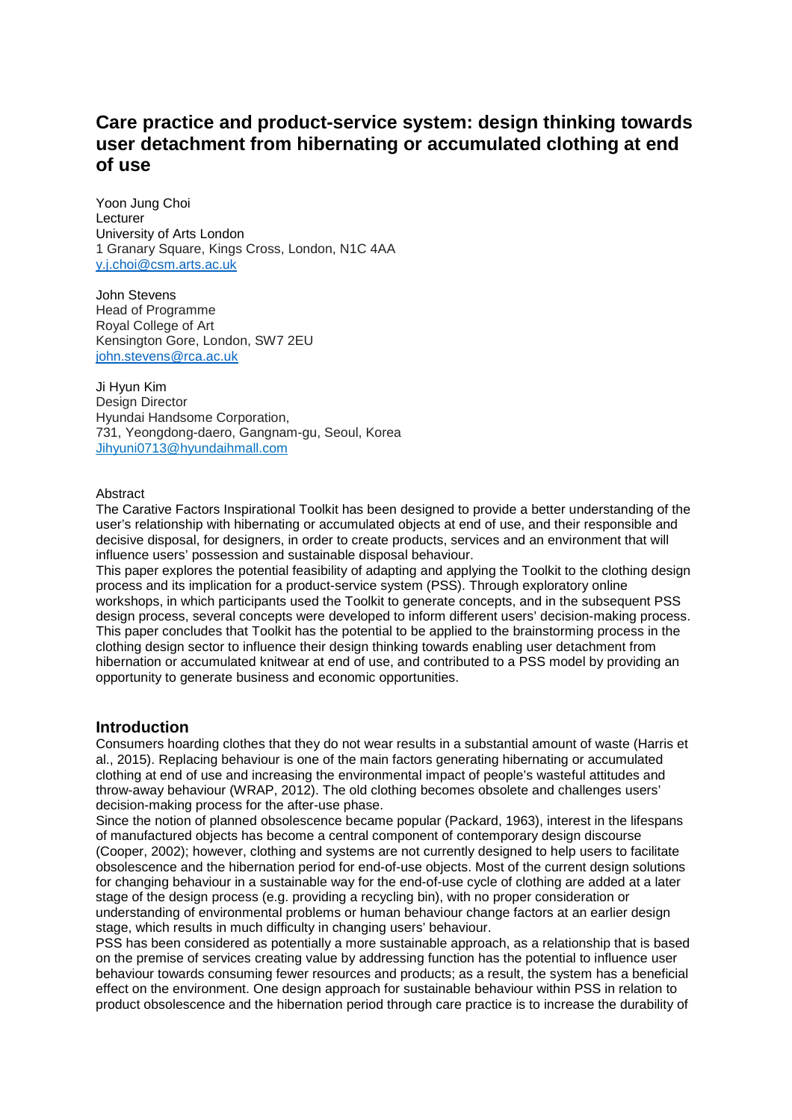# **Care practice and product-service system: design thinking towards user detachment from hibernating or accumulated clothing at end of use**

Yoon Jung Choi Lecturer University of Arts London 1 Granary Square, Kings Cross, London, N1C 4AA [y.j.choi@csm.arts.ac.uk](mailto:y.j.choi@csm.arts.ac.uk)

John Stevens Head of Programme Royal College of Art Kensington Gore, London, SW7 2EU [john.stevens@rca.ac.uk](mailto:john.stevens@rca.ac.uk)

Ji Hyun Kim Design Director Hyundai Handsome Corporation, 731, Yeongdong-daero, Gangnam-gu, Seoul, Korea Jihyuni0713@hyundaihmall.com

### Abstract

The Carative Factors Inspirational Toolkit has been designed to provide a better understanding of the user's relationship with hibernating or accumulated objects at end of use, and their responsible and decisive disposal, for designers, in order to create products, services and an environment that will influence users' possession and sustainable disposal behaviour.

This paper explores the potential feasibility of adapting and applying the Toolkit to the clothing design process and its implication for a product-service system (PSS). Through exploratory online workshops, in which participants used the Toolkit to generate concepts, and in the subsequent PSS design process, several concepts were developed to inform different users' decision-making process. This paper concludes that Toolkit has the potential to be applied to the brainstorming process in the clothing design sector to influence their design thinking towards enabling user detachment from hibernation or accumulated knitwear at end of use, and contributed to a PSS model by providing an opportunity to generate business and economic opportunities.

## **Introduction**

Consumers hoarding clothes that they do not wear results in a substantial amount of waste (Harris et al., 2015). Replacing behaviour is one of the main factors generating hibernating or accumulated clothing at end of use and increasing the environmental impact of people's wasteful attitudes and throw-away behaviour (WRAP, 2012). The old clothing becomes obsolete and challenges users' decision-making process for the after-use phase.

Since the notion of planned obsolescence became popular (Packard, 1963), interest in the lifespans of manufactured objects has become a central component of contemporary design discourse (Cooper, 2002); however, clothing and systems are not currently designed to help users to facilitate obsolescence and the hibernation period for end-of-use objects. Most of the current design solutions for changing behaviour in a sustainable way for the end-of-use cycle of clothing are added at a later stage of the design process (e.g. providing a recycling bin), with no proper consideration or understanding of environmental problems or human behaviour change factors at an earlier design stage, which results in much difficulty in changing users' behaviour.

PSS has been considered as potentially a more sustainable approach, as a relationship that is based on the premise of services creating value by addressing function has the potential to influence user behaviour towards consuming fewer resources and products; as a result, the system has a beneficial effect on the environment. One design approach for sustainable behaviour within PSS in relation to product obsolescence and the hibernation period through care practice is to increase the durability of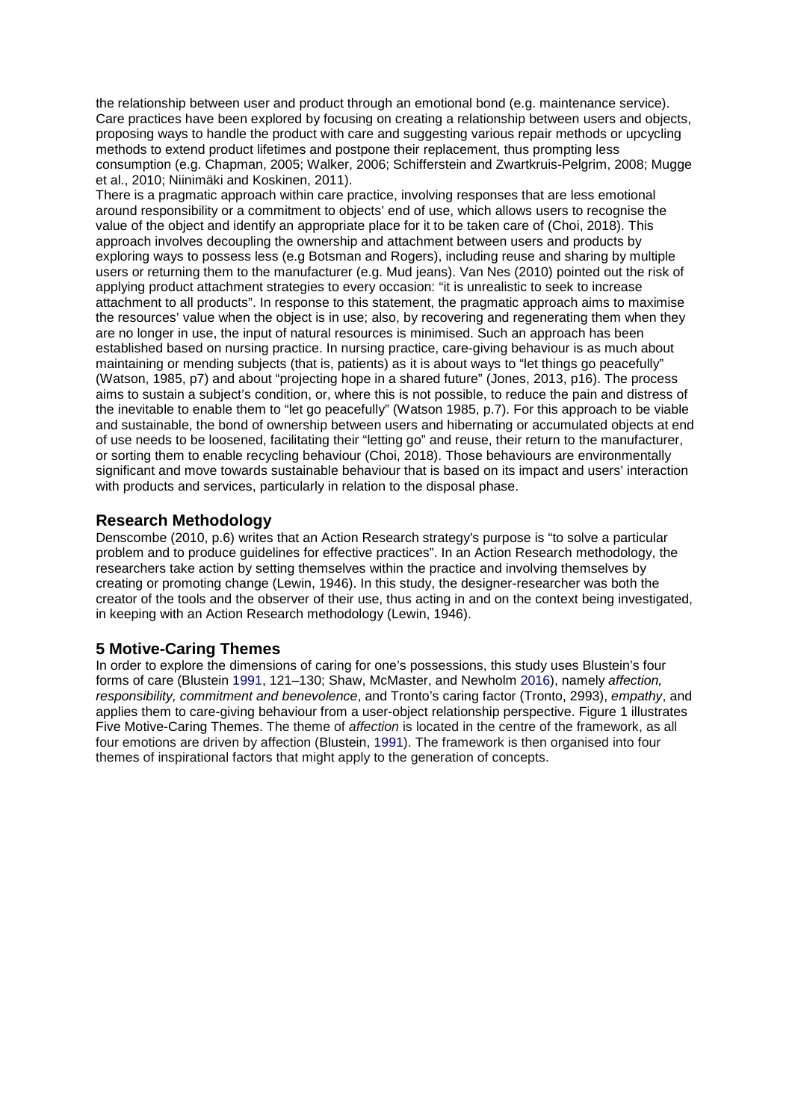the relationship between user and product through an emotional bond (e.g. maintenance service). Care practices have been explored by focusing on creating a relationship between users and objects, proposing ways to handle the product with care and suggesting various repair methods or upcycling methods to extend product lifetimes and postpone their replacement, thus prompting less consumption (e.g. Chapman, 2005; Walker, 2006; Schifferstein and Zwartkruis-Pelgrim, 2008; Mugge et al., 2010; Niinimäki and Koskinen, 2011).

There is a pragmatic approach within care practice, involving responses that are less emotional around responsibility or a commitment to objects' end of use, which allows users to recognise the value of the object and identify an appropriate place for it to be taken care of (Choi, 2018). This approach involves decoupling the ownership and attachment between users and products by exploring ways to possess less (e.g Botsman and Rogers), including reuse and sharing by multiple users or returning them to the manufacturer (e.g. Mud jeans). Van Nes (2010) pointed out the risk of applying product attachment strategies to every occasion: "it is unrealistic to seek to increase attachment to all products". In response to this statement, the pragmatic approach aims to maximise the resources' value when the object is in use; also, by recovering and regenerating them when they are no longer in use, the input of natural resources is minimised. Such an approach has been established based on nursing practice. In nursing practice, care-giving behaviour is as much about maintaining or mending subjects (that is, patients) as it is about ways to "let things go peacefully" (Watson, 1985, p7) and about "projecting hope in a shared future" (Jones, 2013, p16). The process aims to sustain a subject's condition, or, where this is not possible, to reduce the pain and distress of the inevitable to enable them to "let go peacefully" (Watson 1985, p.7). For this approach to be viable and sustainable, the bond of ownership between users and hibernating or accumulated objects at end of use needs to be loosened, facilitating their "letting go" and reuse, their return to the manufacturer, or sorting them to enable recycling behaviour (Choi, 2018). Those behaviours are environmentally significant and move towards sustainable behaviour that is based on its impact and users' interaction with products and services, particularly in relation to the disposal phase.

## **Research Methodology**

Denscombe (2010, p.6) writes that an Action Research strategy's purpose is "to solve a particular problem and to produce guidelines for effective practices". In an Action Research methodology, the researchers take action by setting themselves within the practice and involving themselves by creating or promoting change (Lewin, 1946). In this study, the designer-researcher was both the creator of the tools and the observer of their use, thus acting in and on the context being investigated, in keeping with an Action Research methodology (Lewin, 1946).

# **5 Motive-Caring Themes**

In order to explore the dimensions of caring for one's possessions, this study uses Blustein's four forms of care (Blustein 1991, 121–130; Shaw, McMaster, and Newholm 2016), namely *affection, responsibility, commitment and benevolence*, and Tronto's caring factor (Tronto, 2993), *empathy*, and applies them to care-giving behaviour from a user-object relationship perspective. Figure 1 illustrates Five Motive-Caring Themes. The theme of *affection* is located in the centre of the framework, as all four emotions are driven by affection (Blustein, 1991). The framework is then organised into four themes of inspirational factors that might apply to the generation of concepts.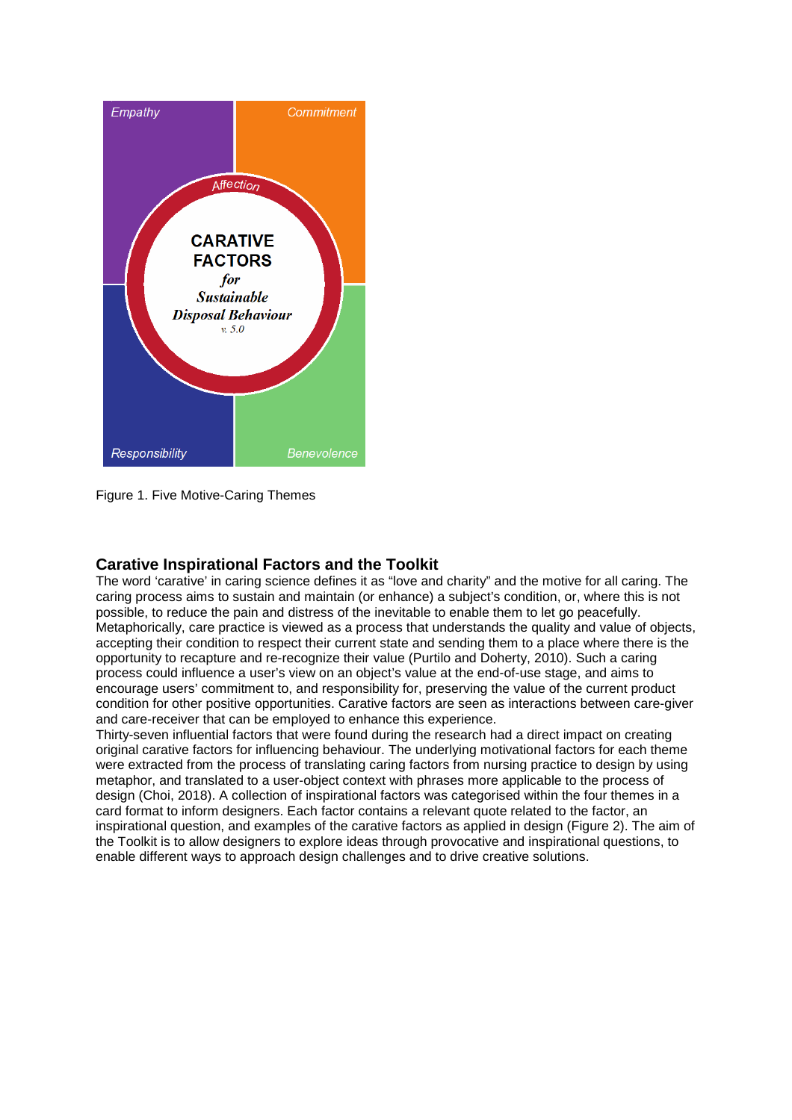

Figure 1. Five Motive-Caring Themes

# **Carative Inspirational Factors and the Toolkit**

The word 'carative' in caring science defines it as "love and charity" and the motive for all caring. The caring process aims to sustain and maintain (or enhance) a subject's condition, or, where this is not possible, to reduce the pain and distress of the inevitable to enable them to let go peacefully. Metaphorically, care practice is viewed as a process that understands the quality and value of objects, accepting their condition to respect their current state and sending them to a place where there is the opportunity to recapture and re-recognize their value (Purtilo and Doherty, 2010). Such a caring process could influence a user's view on an object's value at the end-of-use stage, and aims to encourage users' commitment to, and responsibility for, preserving the value of the current product condition for other positive opportunities. Carative factors are seen as interactions between care-giver and care-receiver that can be employed to enhance this experience.

Thirty-seven influential factors that were found during the research had a direct impact on creating original carative factors for influencing behaviour. The underlying motivational factors for each theme were extracted from the process of translating caring factors from nursing practice to design by using metaphor, and translated to a user-object context with phrases more applicable to the process of design (Choi, 2018). A collection of inspirational factors was categorised within the four themes in a card format to inform designers. Each factor contains a relevant quote related to the factor, an inspirational question, and examples of the carative factors as applied in design (Figure 2). The aim of the Toolkit is to allow designers to explore ideas through provocative and inspirational questions, to enable different ways to approach design challenges and to drive creative solutions.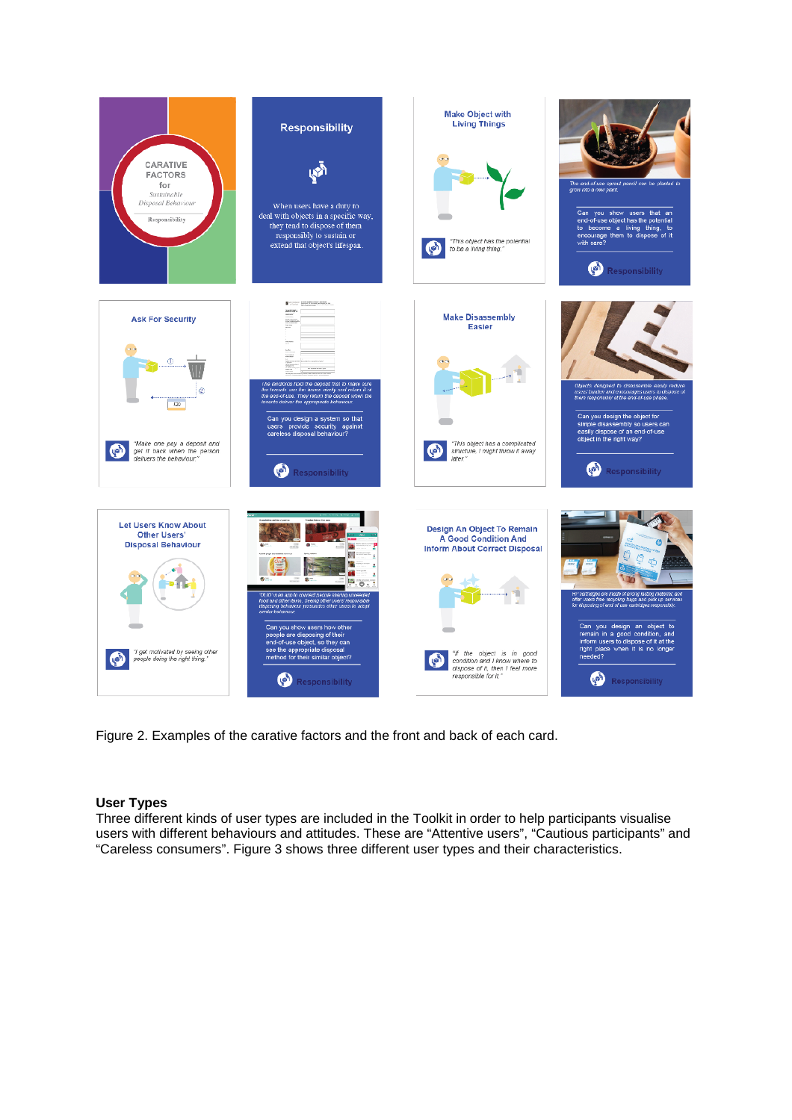

Figure 2. Examples of the carative factors and the front and back of each card.

## **User Types**

Three different kinds of user types are included in the Toolkit in order to help participants visualise users with different behaviours and attitudes. These are "Attentive users", "Cautious participants" and "Careless consumers". Figure 3 shows three different user types and their characteristics.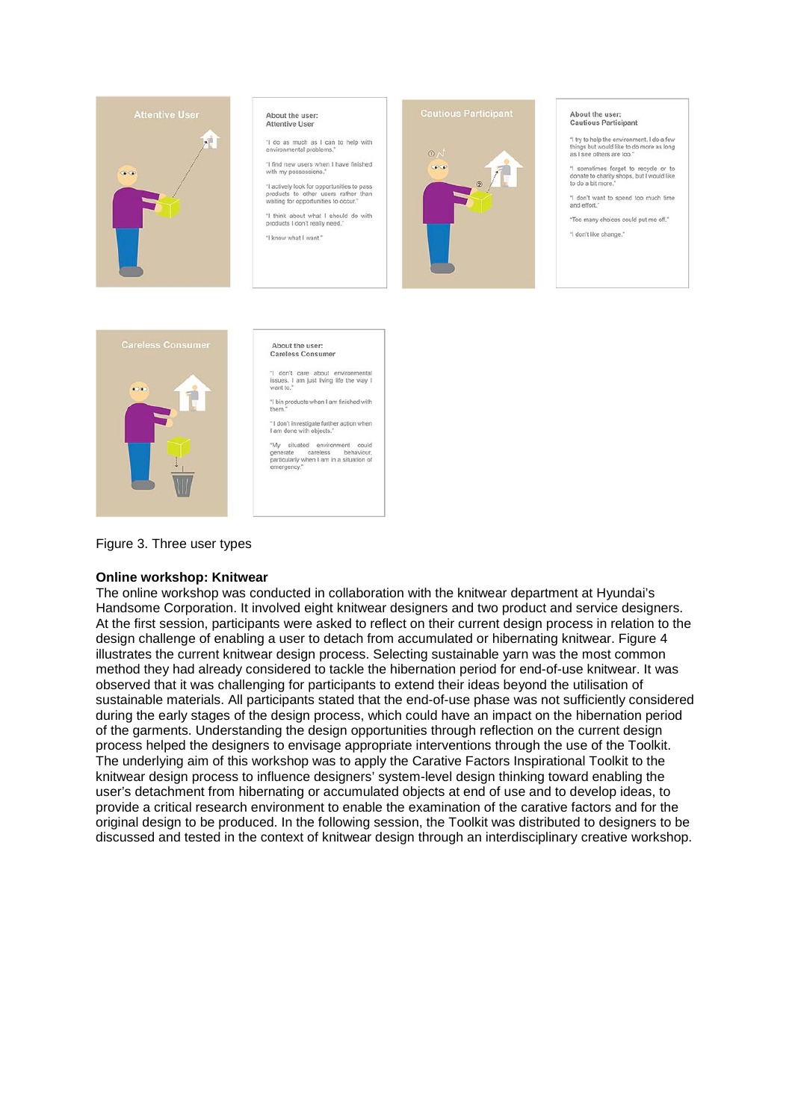

# About the user:<br>Attentive User

"I do as much as I can to help with<br>environmental problems."

"I find new users when I have finished<br>with my possessions."

"I actively look for opportunities to pay products to other users rather the waiting for opportunities to occur."

"I think about what I should do with<br>products I don't really need." "I know what I want."



#### About the user: Cautious Participant

"I try to help the environment. I do a few<br>things but would like to do more as long<br>as I see others are too."

"I sometimes forget to recycle or to<br>donate to charity shops, but I would like<br>to do a bit more,"

"I don't want to spend too much time<br>and effort." "Too many choices could put me off."

"I don't like change."



About the user: **Careless Consumer** 

 $\frac{1}{2}$  care about environmental<br>issues. I am just living life the way I<br>want to."

"I bin products when I am finished with

"I don't investigate further action when<br>I am done with objects."

"My situated environment could<br>generate careless behaviour,<br>particularly when I am in a situation of

Figure 3. Three user types

#### Online workshop: Knitwear

The online workshop was conducted in collaboration with the knitwear department at Hyundai's Handsome Corporation. It involved eight knitwear designers and two product and service designers. At the first session, participants were asked to reflect on their current design process in relation to the design challenge of enabling a user to detach from accumulated or hibernating knitwear. Figure 4 illustrates the current knitwear design process. Selecting sustainable yarn was the most common method they had already considered to tackle the hibernation period for end-of-use knitwear. It was observed that it was challenging for participants to extend their ideas beyond the utilisation of sustainable materials. All participants stated that the end-of-use phase was not sufficiently considered during the early stages of the design process, which could have an impact on the hibernation period of the garments. Understanding the design opportunities through reflection on the current design process helped the designers to envisage appropriate interventions through the use of the Toolkit. The underlying aim of this workshop was to apply the Carative Factors Inspirational Toolkit to the knitwear design process to influence designers' system-level design thinking toward enabling the user's detachment from hibernating or accumulated objects at end of use and to develop ideas, to provide a critical research environment to enable the examination of the carative factors and for the original design to be produced. In the following session, the Toolkit was distributed to designers to be discussed and tested in the context of knitwear design through an interdisciplinary creative workshop.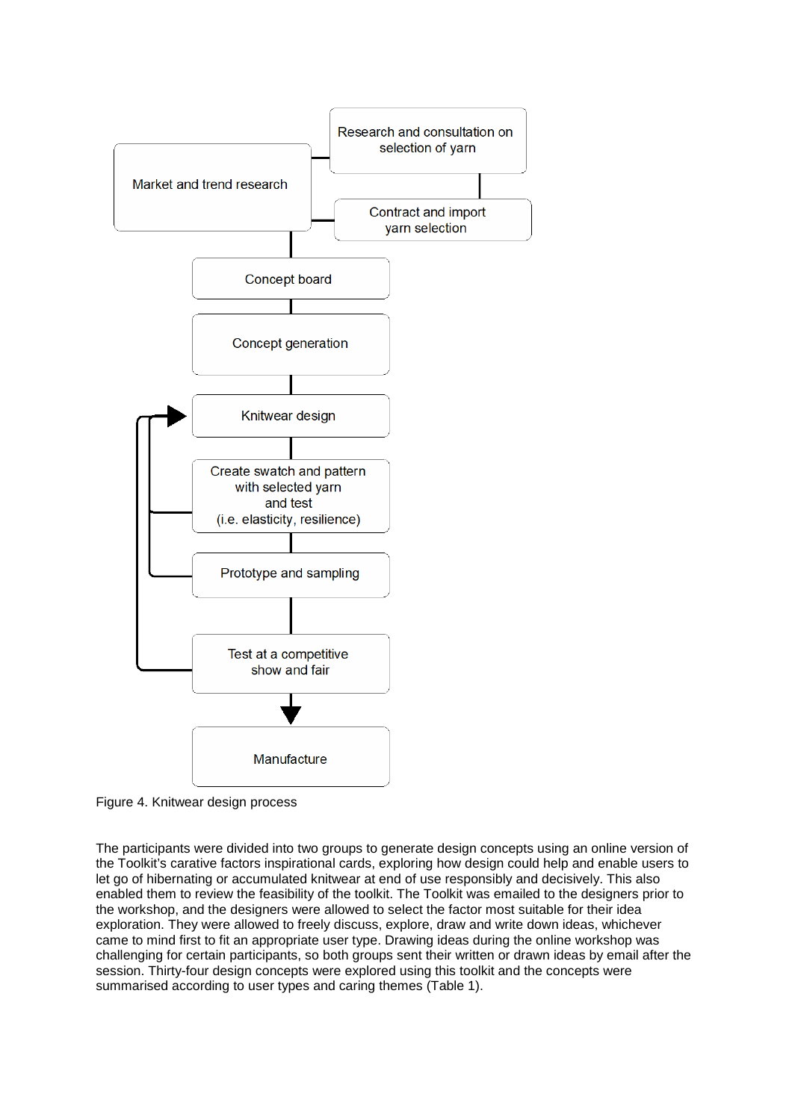

Figure 4. Knitwear design process

The participants were divided into two groups to generate design concepts using an online version of the Toolkit's carative factors inspirational cards, exploring how design could help and enable users to let go of hibernating or accumulated knitwear at end of use responsibly and decisively. This also enabled them to review the feasibility of the toolkit. The Toolkit was emailed to the designers prior to the workshop, and the designers were allowed to select the factor most suitable for their idea exploration. They were allowed to freely discuss, explore, draw and write down ideas, whichever came to mind first to fit an appropriate user type. Drawing ideas during the online workshop was challenging for certain participants, so both groups sent their written or drawn ideas by email after the session. Thirty-four design concepts were explored using this toolkit and the concepts were summarised according to user types and caring themes (Table 1).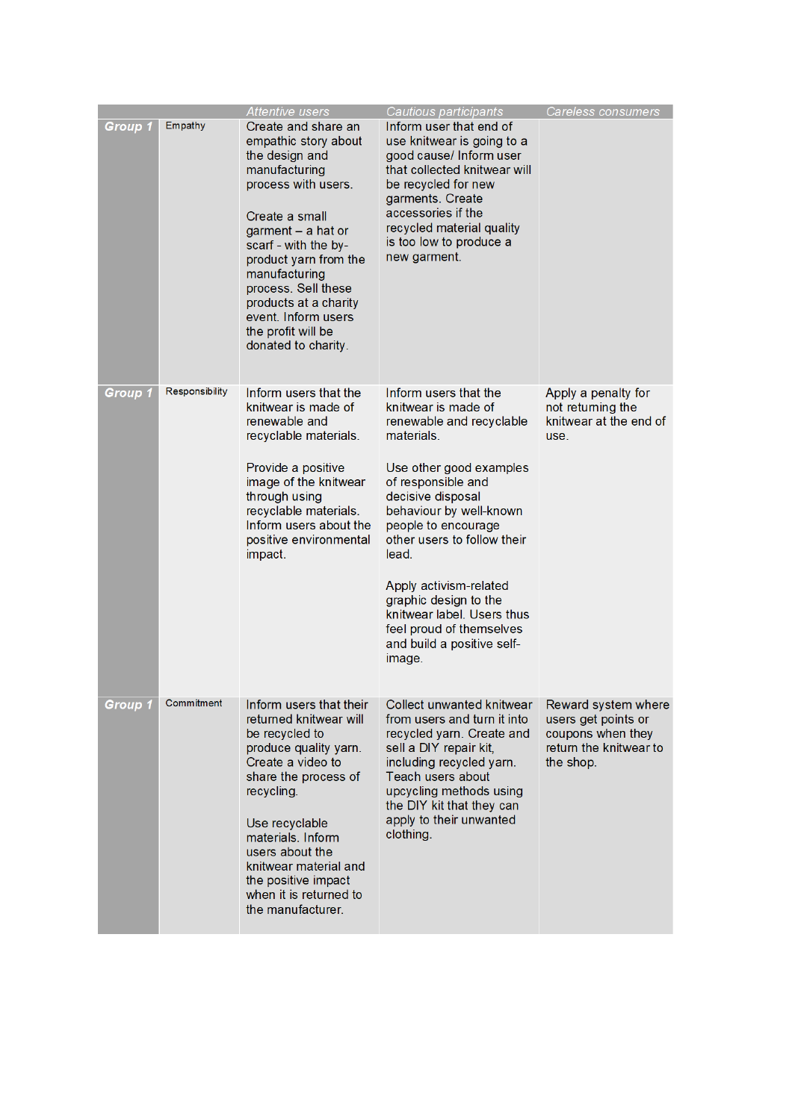|         |                | Attentive users                                                                                                                                                                                                                                                                                                                     | Cautious participants                                                                                                                                                                                                                                                                                                                                                                                       | Careless consumers                                                                                     |
|---------|----------------|-------------------------------------------------------------------------------------------------------------------------------------------------------------------------------------------------------------------------------------------------------------------------------------------------------------------------------------|-------------------------------------------------------------------------------------------------------------------------------------------------------------------------------------------------------------------------------------------------------------------------------------------------------------------------------------------------------------------------------------------------------------|--------------------------------------------------------------------------------------------------------|
| Group 1 | Empathy        | Create and share an<br>empathic story about<br>the design and<br>manufacturing<br>process with users.<br>Create a small<br>garment - a hat or<br>scarf - with the by-<br>product yarn from the<br>manufacturing<br>process. Sell these<br>products at a charity<br>event. Inform users<br>the profit will be<br>donated to charity. | Inform user that end of<br>use knitwear is going to a<br>good cause/ Inform user<br>that collected knitwear will<br>be recycled for new<br>garments. Create<br>accessories if the<br>recycled material quality<br>is too low to produce a<br>new garment.                                                                                                                                                   |                                                                                                        |
| Group 1 | Responsibility | Inform users that the<br>knitwear is made of<br>renewable and<br>recyclable materials.<br>Provide a positive<br>image of the knitwear<br>through using<br>recyclable materials.<br>Inform users about the<br>positive environmental<br>impact.                                                                                      | Inform users that the<br>knitwear is made of<br>renewable and recyclable<br>materials.<br>Use other good examples<br>of responsible and<br>decisive disposal<br>behaviour by well-known<br>people to encourage<br>other users to follow their<br>lead.<br>Apply activism-related<br>graphic design to the<br>knitwear label. Users thus<br>feel proud of themselves<br>and build a positive self-<br>image. | Apply a penalty for<br>not returning the<br>knitwear at the end of<br>use.                             |
| Group 1 | Commitment     | Inform users that their<br>returned knitwear will<br>be recycled to<br>produce quality yarn.<br>Create a video to<br>share the process of<br>recycling.<br>Use recyclable<br>materials. Inform<br>users about the<br>knitwear material and<br>the positive impact<br>when it is returned to<br>the manufacturer.                    | Collect unwanted knitwear<br>from users and turn it into<br>recycled yarn. Create and<br>sell a DIY repair kit,<br>including recycled yarn.<br>Teach users about<br>upcycling methods using<br>the DIY kit that they can<br>apply to their unwanted<br>clothing.                                                                                                                                            | Reward system where<br>users get points or<br>coupons when they<br>return the knitwear to<br>the shop. |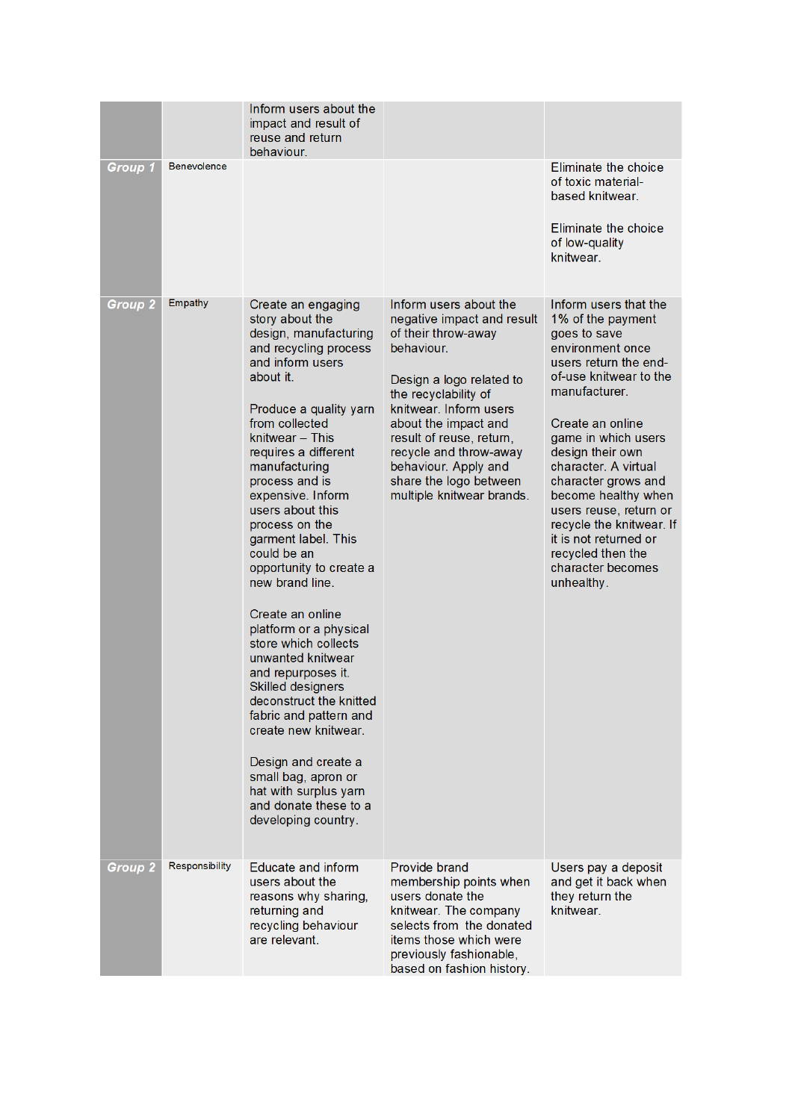|                |                    | Inform users about the<br>impact and result of<br>reuse and return<br>behaviour.                                                                                                                                                                                                                                                                                                                                                                                                                                                                                                                                                                                                                                                            |                                                                                                                                                                                                                                                                                                                                      |                                                                                                                                                                                                                                                                                                                                                                                                                                |
|----------------|--------------------|---------------------------------------------------------------------------------------------------------------------------------------------------------------------------------------------------------------------------------------------------------------------------------------------------------------------------------------------------------------------------------------------------------------------------------------------------------------------------------------------------------------------------------------------------------------------------------------------------------------------------------------------------------------------------------------------------------------------------------------------|--------------------------------------------------------------------------------------------------------------------------------------------------------------------------------------------------------------------------------------------------------------------------------------------------------------------------------------|--------------------------------------------------------------------------------------------------------------------------------------------------------------------------------------------------------------------------------------------------------------------------------------------------------------------------------------------------------------------------------------------------------------------------------|
| Group 1        | <b>Benevolence</b> |                                                                                                                                                                                                                                                                                                                                                                                                                                                                                                                                                                                                                                                                                                                                             |                                                                                                                                                                                                                                                                                                                                      | Eliminate the choice<br>of toxic material-<br>based knitwear.<br>Eliminate the choice<br>of low-quality<br>knitwear.                                                                                                                                                                                                                                                                                                           |
| <b>Group 2</b> | Empathy            | Create an engaging<br>story about the<br>design, manufacturing<br>and recycling process<br>and inform users<br>about it.<br>Produce a quality yarn<br>from collected<br>knitwear - This<br>requires a different<br>manufacturing<br>process and is<br>expensive. Inform<br>users about this<br>process on the<br>garment label. This<br>could be an<br>opportunity to create a<br>new brand line.<br>Create an online<br>platform or a physical<br>store which collects<br>unwanted knitwear<br>and repurposes it.<br>Skilled designers<br>deconstruct the knitted<br>fabric and pattern and<br>create new knitwear.<br>Design and create a<br>small bag, apron or<br>hat with surplus yarn<br>and donate these to a<br>developing country. | Inform users about the<br>negative impact and result<br>of their throw-away<br>behaviour.<br>Design a logo related to<br>the recyclability of<br>knitwear. Inform users<br>about the impact and<br>result of reuse, return,<br>recycle and throw-away<br>behaviour. Apply and<br>share the logo between<br>multiple knitwear brands. | Inform users that the<br>1% of the payment<br>goes to save<br>environment once<br>users return the end-<br>of-use knitwear to the<br>manufacturer.<br>Create an online<br>game in which users<br>design their own<br>character. A virtual<br>character grows and<br>become healthy when<br>users reuse, return or<br>recycle the knitwear. If<br>it is not returned or<br>recycled then the<br>character becomes<br>unhealthy. |
| <b>Group 2</b> | Responsibility     | <b>Educate and inform</b><br>users about the<br>reasons why sharing,<br>returning and<br>recycling behaviour<br>are relevant.                                                                                                                                                                                                                                                                                                                                                                                                                                                                                                                                                                                                               | Provide brand<br>membership points when<br>users donate the<br>knitwear. The company<br>selects from the donated<br>items those which were<br>previously fashionable,<br>based on fashion history.                                                                                                                                   | Users pay a deposit<br>and get it back when<br>they return the<br>knitwear.                                                                                                                                                                                                                                                                                                                                                    |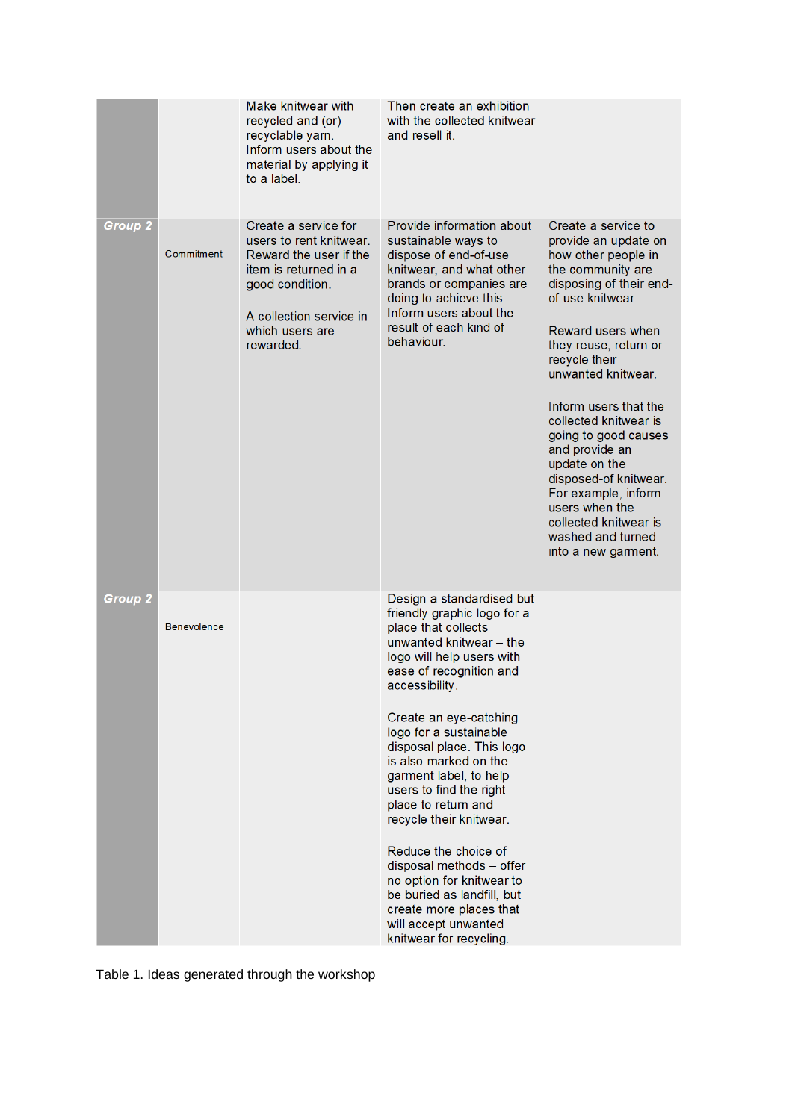|                |                    | Make knitwear with<br>recycled and (or)<br>recyclable yam.<br>Inform users about the<br>material by applying it<br>to a label.                                                   | Then create an exhibition<br>with the collected knitwear<br>and resell it.                                                                                                                                                                                                                                                                                                                                                                                                                                                                                                                         |                                                                                                                                                                                                                                                                                                                                                                                                                                                                                 |
|----------------|--------------------|----------------------------------------------------------------------------------------------------------------------------------------------------------------------------------|----------------------------------------------------------------------------------------------------------------------------------------------------------------------------------------------------------------------------------------------------------------------------------------------------------------------------------------------------------------------------------------------------------------------------------------------------------------------------------------------------------------------------------------------------------------------------------------------------|---------------------------------------------------------------------------------------------------------------------------------------------------------------------------------------------------------------------------------------------------------------------------------------------------------------------------------------------------------------------------------------------------------------------------------------------------------------------------------|
| <b>Group 2</b> | Commitment         | Create a service for<br>users to rent knitwear.<br>Reward the user if the<br>item is returned in a<br>good condition.<br>A collection service in<br>which users are<br>rewarded. | Provide information about<br>sustainable ways to<br>dispose of end-of-use<br>knitwear, and what other<br>brands or companies are<br>doing to achieve this.<br>Inform users about the<br>result of each kind of<br>behaviour.                                                                                                                                                                                                                                                                                                                                                                       | Create a service to<br>provide an update on<br>how other people in<br>the community are<br>disposing of their end-<br>of-use knitwear.<br>Reward users when<br>they reuse, return or<br>recycle their<br>unwanted knitwear.<br>Inform users that the<br>collected knitwear is<br>going to good causes<br>and provide an<br>update on the<br>disposed-of knitwear.<br>For example, inform<br>users when the<br>collected knitwear is<br>washed and turned<br>into a new garment. |
| <b>Group 2</b> | <b>Benevolence</b> |                                                                                                                                                                                  | Design a standardised but<br>friendly graphic logo for a<br>place that collects<br>unwanted knitwear - the<br>logo will help users with<br>ease of recognition and<br>accessibility.<br>Create an eye-catching<br>logo for a sustainable<br>disposal place. This logo<br>is also marked on the<br>garment label, to help<br>users to find the right<br>place to return and<br>recycle their knitwear.<br>Reduce the choice of<br>disposal methods - offer<br>no option for knitwear to<br>be buried as landfill, but<br>create more places that<br>will accept unwanted<br>knitwear for recycling. |                                                                                                                                                                                                                                                                                                                                                                                                                                                                                 |

Table 1. Ideas generated through the workshop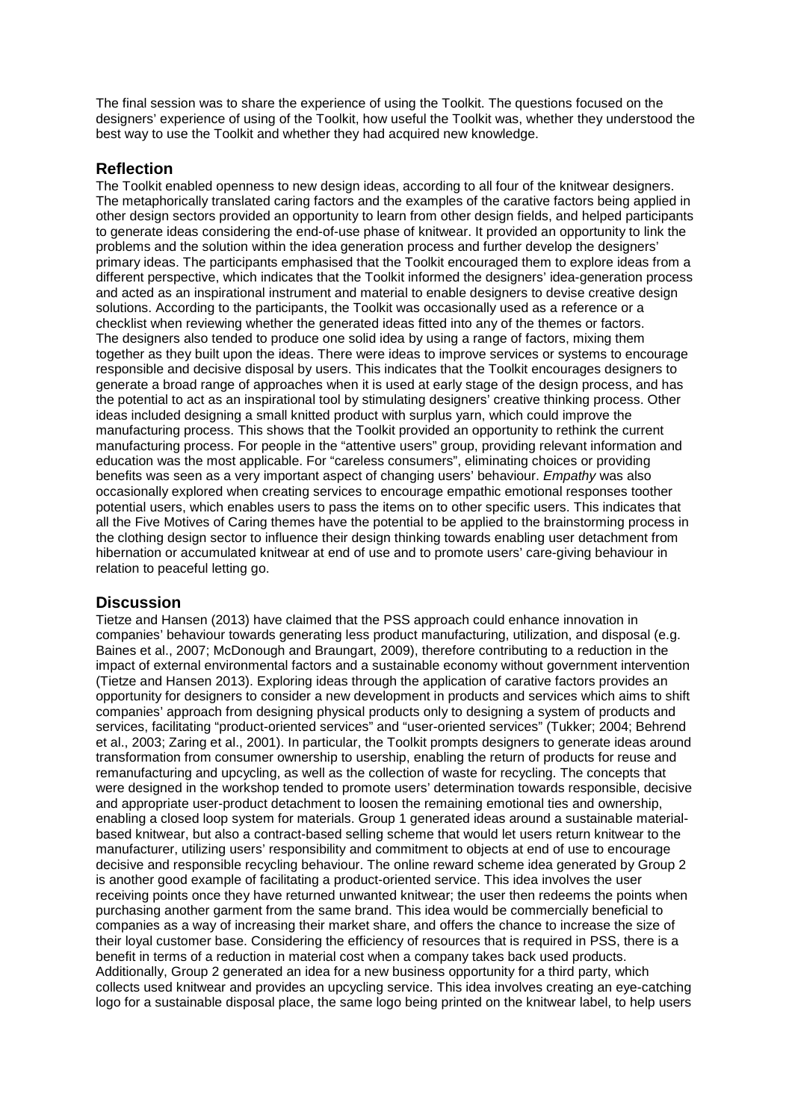The final session was to share the experience of using the Toolkit. The questions focused on the designers' experience of using of the Toolkit, how useful the Toolkit was, whether they understood the best way to use the Toolkit and whether they had acquired new knowledge.

# **Reflection**

The Toolkit enabled openness to new design ideas, according to all four of the knitwear designers. The metaphorically translated caring factors and the examples of the carative factors being applied in other design sectors provided an opportunity to learn from other design fields, and helped participants to generate ideas considering the end-of-use phase of knitwear. It provided an opportunity to link the problems and the solution within the idea generation process and further develop the designers' primary ideas. The participants emphasised that the Toolkit encouraged them to explore ideas from a different perspective, which indicates that the Toolkit informed the designers' idea-generation process and acted as an inspirational instrument and material to enable designers to devise creative design solutions. According to the participants, the Toolkit was occasionally used as a reference or a checklist when reviewing whether the generated ideas fitted into any of the themes or factors. The designers also tended to produce one solid idea by using a range of factors, mixing them together as they built upon the ideas. There were ideas to improve services or systems to encourage responsible and decisive disposal by users. This indicates that the Toolkit encourages designers to generate a broad range of approaches when it is used at early stage of the design process, and has the potential to act as an inspirational tool by stimulating designers' creative thinking process. Other ideas included designing a small knitted product with surplus yarn, which could improve the manufacturing process. This shows that the Toolkit provided an opportunity to rethink the current manufacturing process. For people in the "attentive users" group, providing relevant information and education was the most applicable. For "careless consumers", eliminating choices or providing benefits was seen as a very important aspect of changing users' behaviour. *Empathy* was also occasionally explored when creating services to encourage empathic emotional responses toother potential users, which enables users to pass the items on to other specific users. This indicates that all the Five Motives of Caring themes have the potential to be applied to the brainstorming process in the clothing design sector to influence their design thinking towards enabling user detachment from hibernation or accumulated knitwear at end of use and to promote users' care-giving behaviour in relation to peaceful letting go.

# **Discussion**

Tietze and Hansen (2013) have claimed that the PSS approach could enhance innovation in companies' behaviour towards generating less product manufacturing, utilization, and disposal (e.g. Baines et al., 2007; McDonough and Braungart, 2009), therefore contributing to a reduction in the impact of external environmental factors and a sustainable economy without government intervention (Tietze and Hansen 2013). Exploring ideas through the application of carative factors provides an opportunity for designers to consider a new development in products and services which aims to shift companies' approach from designing physical products only to designing a system of products and services, facilitating "product-oriented services" and "user-oriented services" (Tukker; 2004; Behrend et al., 2003; Zaring et al., 2001). In particular, the Toolkit prompts designers to generate ideas around transformation from consumer ownership to usership, enabling the return of products for reuse and remanufacturing and upcycling, as well as the collection of waste for recycling. The concepts that were designed in the workshop tended to promote users' determination towards responsible, decisive and appropriate user-product detachment to loosen the remaining emotional ties and ownership, enabling a closed loop system for materials. Group 1 generated ideas around a sustainable materialbased knitwear, but also a contract-based selling scheme that would let users return knitwear to the manufacturer, utilizing users' responsibility and commitment to objects at end of use to encourage decisive and responsible recycling behaviour. The online reward scheme idea generated by Group 2 is another good example of facilitating a product-oriented service. This idea involves the user receiving points once they have returned unwanted knitwear; the user then redeems the points when purchasing another garment from the same brand. This idea would be commercially beneficial to companies as a way of increasing their market share, and offers the chance to increase the size of their loyal customer base. Considering the efficiency of resources that is required in PSS, there is a benefit in terms of a reduction in material cost when a company takes back used products. Additionally, Group 2 generated an idea for a new business opportunity for a third party, which collects used knitwear and provides an upcycling service. This idea involves creating an eye-catching logo for a sustainable disposal place, the same logo being printed on the knitwear label, to help users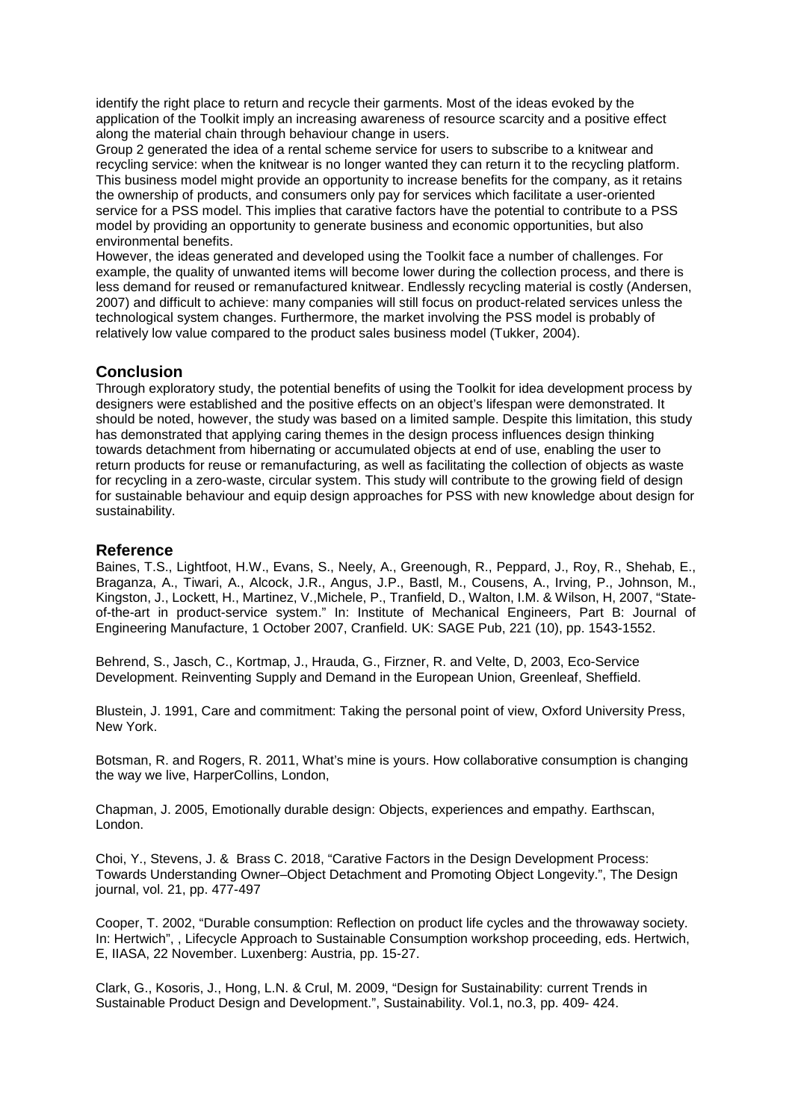identify the right place to return and recycle their garments. Most of the ideas evoked by the application of the Toolkit imply an increasing awareness of resource scarcity and a positive effect along the material chain through behaviour change in users.

Group 2 generated the idea of a rental scheme service for users to subscribe to a knitwear and recycling service: when the knitwear is no longer wanted they can return it to the recycling platform. This business model might provide an opportunity to increase benefits for the company, as it retains the ownership of products, and consumers only pay for services which facilitate a user-oriented service for a PSS model. This implies that carative factors have the potential to contribute to a PSS model by providing an opportunity to generate business and economic opportunities, but also environmental benefits.

However, the ideas generated and developed using the Toolkit face a number of challenges. For example, the quality of unwanted items will become lower during the collection process, and there is less demand for reused or remanufactured knitwear. Endlessly recycling material is costly (Andersen, 2007) and difficult to achieve: many companies will still focus on product-related services unless the technological system changes. Furthermore, the market involving the PSS model is probably of relatively low value compared to the product sales business model (Tukker, 2004).

# **Conclusion**

Through exploratory study, the potential benefits of using the Toolkit for idea development process by designers were established and the positive effects on an object's lifespan were demonstrated. It should be noted, however, the study was based on a limited sample. Despite this limitation, this study has demonstrated that applying caring themes in the design process influences design thinking towards detachment from hibernating or accumulated objects at end of use, enabling the user to return products for reuse or remanufacturing, as well as facilitating the collection of objects as waste for recycling in a zero-waste, circular system. This study will contribute to the growing field of design for sustainable behaviour and equip design approaches for PSS with new knowledge about design for sustainability.

# **Reference**

Baines, T.S., Lightfoot, H.W., Evans, S., Neely, A., Greenough, R., Peppard, J., Roy, R., Shehab, E., Braganza, A., Tiwari, A., Alcock, J.R., Angus, J.P., Bastl, M., Cousens, A., Irving, P., Johnson, M., Kingston, J., Lockett, H., Martinez, V.,Michele, P., Tranfield, D., Walton, I.M. & Wilson, H, 2007, "Stateof-the-art in product-service system." In: Institute of Mechanical Engineers, Part B: Journal of Engineering Manufacture, 1 October 2007, Cranfield. UK: SAGE Pub, 221 (10), pp. 1543-1552.

Behrend, S., Jasch, C., Kortmap, J., Hrauda, G., Firzner, R. and Velte, D, 2003, Eco-Service Development. Reinventing Supply and Demand in the European Union, Greenleaf, Sheffield.

Blustein, J. 1991, Care and commitment: Taking the personal point of view, Oxford University Press, New York.

Botsman, R. and Rogers, R. 2011, What's mine is yours. How collaborative consumption is changing the way we live, HarperCollins, London,

Chapman, J. 2005, Emotionally durable design: Objects, experiences and empathy. Earthscan, London.

Choi, Y., Stevens, J. & Brass C. 2018, "Carative Factors in the Design Development Process: Towards Understanding Owner–Object Detachment and Promoting Object Longevity.", The Design journal, vol. 21, pp. 477-497

Cooper, T. 2002, "Durable consumption: Reflection on product life cycles and the throwaway society. In: Hertwich", , Lifecycle Approach to Sustainable Consumption workshop proceeding, eds. Hertwich, E, IIASA, 22 November. Luxenberg: Austria, pp. 15-27.

Clark, G., Kosoris, J., Hong, L.N. & Crul, M. 2009, "Design for Sustainability: current Trends in Sustainable Product Design and Development.", Sustainability. Vol.1, no.3, pp. 409- 424.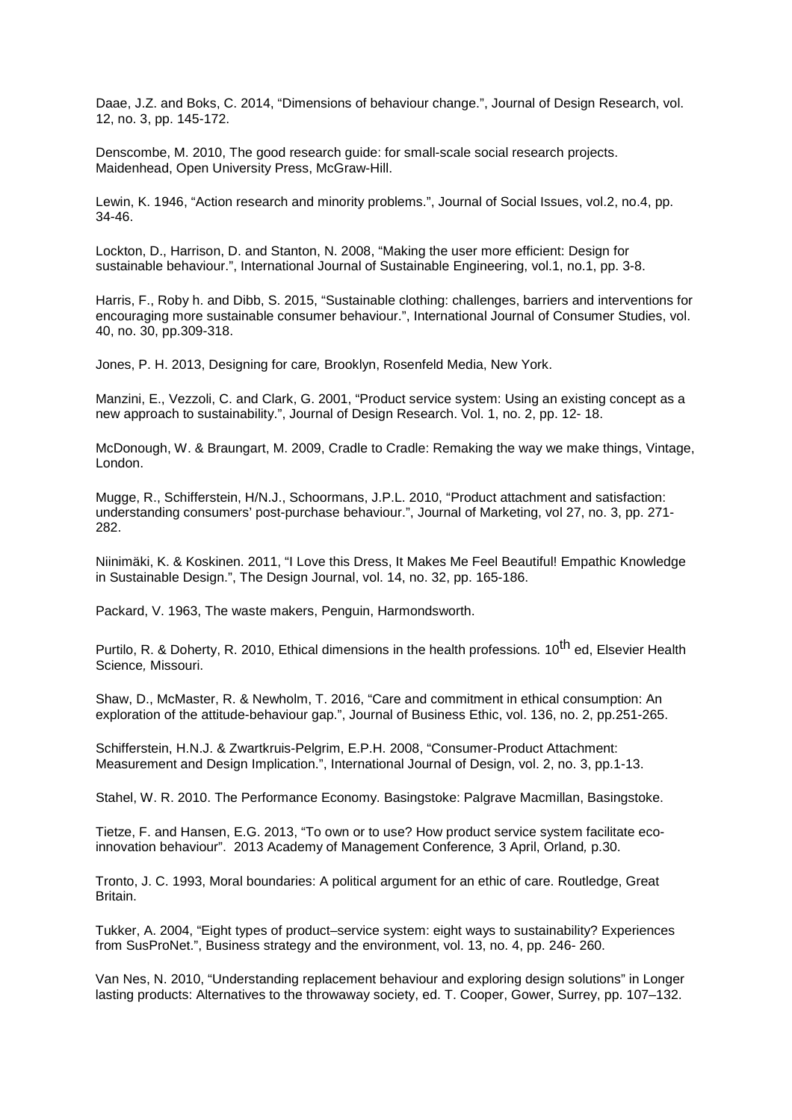Daae, J.Z. and Boks, C. 2014, "Dimensions of behaviour change.", Journal of Design Research, vol. 12, no. 3, pp. 145-172.

Denscombe, M. 2010, The good research guide: for small-scale social research projects. Maidenhead, Open University Press, McGraw-Hill.

Lewin, K. 1946, "Action research and minority problems.", Journal of Social Issues, vol.2, no.4, pp. 34-46.

Lockton, D., Harrison, D. and Stanton, N. 2008, "Making the user more efficient: Design for sustainable behaviour.", International Journal of Sustainable Engineering, vol.1, no.1, pp. 3-8.

Harris, F., Roby h. and Dibb, S. 2015, "Sustainable clothing: challenges, barriers and interventions for encouraging more sustainable consumer behaviour.", International Journal of Consumer Studies, vol. 40, no. 30, pp.309-318.

Jones, P. H. 2013, Designing for care*,* Brooklyn, Rosenfeld Media, New York.

Manzini, E., Vezzoli, C. and Clark, G. 2001, "Product service system: Using an existing concept as a new approach to sustainability.", Journal of Design Research. Vol. 1, no. 2, pp. 12- 18.

McDonough, W. & Braungart, M. 2009, Cradle to Cradle: Remaking the way we make things, Vintage, London.

Mugge, R., Schifferstein, H/N.J., Schoormans, J.P.L. 2010, "Product attachment and satisfaction: understanding consumers' post-purchase behaviour.", Journal of Marketing, vol 27, no. 3, pp. 271- 282.

Niinimäki, K. & Koskinen. 2011, "I Love this Dress, It Makes Me Feel Beautiful! Empathic Knowledge in Sustainable Design.", The Design Journal, vol. 14, no. 32, pp. 165-186.

Packard, V. 1963, The waste makers, Penguin, Harmondsworth.

Purtilo, R. & Doherty, R. 2010, Ethical dimensions in the health professions*.* 10th ed, Elsevier Health Science*,* Missouri.

Shaw, D., McMaster, R. & Newholm, T. 2016, "Care and commitment in ethical consumption: An exploration of the attitude-behaviour gap.", Journal of Business Ethic, vol. 136, no. 2, pp.251-265.

Schifferstein, H.N.J. & Zwartkruis-Pelgrim, E.P.H. 2008, "Consumer-Product Attachment: Measurement and Design Implication.", International Journal of Design, vol. 2, no. 3, pp.1-13.

Stahel, W. R. 2010. The Performance Economy. Basingstoke: Palgrave Macmillan, Basingstoke.

Tietze, F. and Hansen, E.G. 2013, "To own or to use? How product service system facilitate ecoinnovation behaviour". 2013 Academy of Management Conference*,* 3 April, Orland*,* p.30.

Tronto, J. C. 1993, Moral boundaries: A political argument for an ethic of care. Routledge, Great Britain.

Tukker, A. 2004, "Eight types of product–service system: eight ways to sustainability? Experiences from SusProNet.", Business strategy and the environment, vol. 13, no. 4, pp. 246- 260.

Van Nes, N. 2010, "Understanding replacement behaviour and exploring design solutions" in Longer lasting products: Alternatives to the throwaway society, ed. T. Cooper, Gower, Surrey, pp. 107–132.